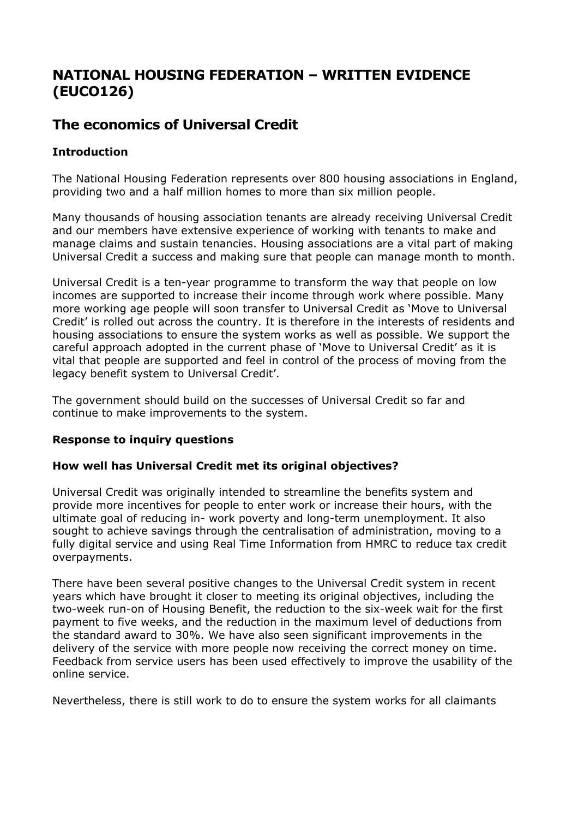# **NATIONAL HOUSING FEDERATION – WRITTEN EVIDENCE (EUCO126)**

# **The economics of Universal Credit**

## **Introduction**

The National Housing Federation represents over 800 housing associations in England, providing two and a half million homes to more than six million people.

Many thousands of housing association tenants are already receiving Universal Credit and our members have extensive experience of working with tenants to make and manage claims and sustain tenancies. Housing associations are a vital part of making Universal Credit a success and making sure that people can manage month to month.

Universal Credit is a ten-year programme to transform the way that people on low incomes are supported to increase their income through work where possible. Many more working age people will soon transfer to Universal Credit as 'Move to Universal Credit' is rolled out across the country. It is therefore in the interests of residents and housing associations to ensure the system works as well as possible. We support the careful approach adopted in the current phase of 'Move to Universal Credit' as it is vital that people are supported and feel in control of the process of moving from the legacy benefit system to Universal Credit'.

The government should build on the successes of Universal Credit so far and continue to make improvements to the system.

### **Response to inquiry questions**

### **How well has Universal Credit met its original objectives?**

Universal Credit was originally intended to streamline the benefits system and provide more incentives for people to enter work or increase their hours, with the ultimate goal of reducing in- work poverty and long-term unemployment. It also sought to achieve savings through the centralisation of administration, moving to a fully digital service and using Real Time Information from HMRC to reduce tax credit overpayments.

There have been several positive changes to the Universal Credit system in recent years which have brought it closer to meeting its original objectives, including the two-week run-on of Housing Benefit, the reduction to the six-week wait for the first payment to five weeks, and the reduction in the maximum level of deductions from the standard award to 30%. We have also seen significant improvements in the delivery of the service with more people now receiving the correct money on time. Feedback from service users has been used effectively to improve the usability of the online service.

Nevertheless, there is still work to do to ensure the system works for all claimants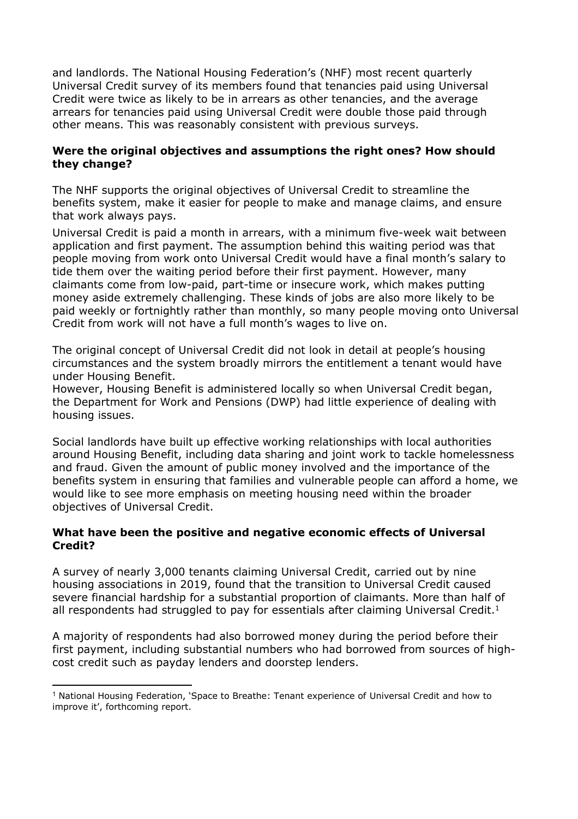and landlords. The National Housing Federation's (NHF) most recent quarterly Universal Credit survey of its members found that tenancies paid using Universal Credit were twice as likely to be in arrears as other tenancies, and the average arrears for tenancies paid using Universal Credit were double those paid through other means. This was reasonably consistent with previous surveys.

### **Were the original objectives and assumptions the right ones? How should they change?**

The NHF supports the original objectives of Universal Credit to streamline the benefits system, make it easier for people to make and manage claims, and ensure that work always pays.

Universal Credit is paid a month in arrears, with a minimum five-week wait between application and first payment. The assumption behind this waiting period was that people moving from work onto Universal Credit would have a final month's salary to tide them over the waiting period before their first payment. However, many claimants come from low-paid, part-time or insecure work, which makes putting money aside extremely challenging. These kinds of jobs are also more likely to be paid weekly or fortnightly rather than monthly, so many people moving onto Universal Credit from work will not have a full month's wages to live on.

The original concept of Universal Credit did not look in detail at people's housing circumstances and the system broadly mirrors the entitlement a tenant would have under Housing Benefit.

However, Housing Benefit is administered locally so when Universal Credit began, the Department for Work and Pensions (DWP) had little experience of dealing with housing issues.

Social landlords have built up effective working relationships with local authorities around Housing Benefit, including data sharing and joint work to tackle homelessness and fraud. Given the amount of public money involved and the importance of the benefits system in ensuring that families and vulnerable people can afford a home, we would like to see more emphasis on meeting housing need within the broader objectives of Universal Credit.

### **What have been the positive and negative economic effects of Universal Credit?**

A survey of nearly 3,000 tenants claiming Universal Credit, carried out by nine housing associations in 2019, found that the transition to Universal Credit caused severe financial hardship for a substantial proportion of claimants. More than half of all respondents had struggled to pay for essentials after claiming Universal Credit.<sup>1</sup>

A majority of respondents had also borrowed money during the period before their first payment, including substantial numbers who had borrowed from sources of highcost credit such as payday lenders and doorstep lenders.

<sup>1</sup> National Housing Federation, 'Space to Breathe: Tenant experience of Universal Credit and how to improve it', forthcoming report.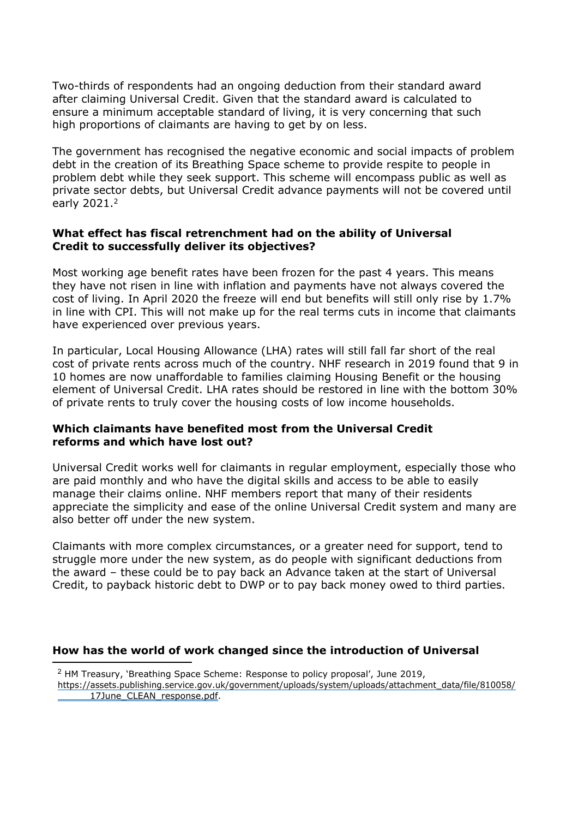Two-thirds of respondents had an ongoing deduction from their standard award after claiming Universal Credit. Given that the standard award is calculated to ensure a minimum acceptable standard of living, it is very concerning that such high proportions of claimants are having to get by on less.

The government has recognised the negative economic and social impacts of problem debt in the creation of its Breathing Space scheme to provide respite to people in problem debt while they seek support. This scheme will encompass public as well as private sector debts, but Universal Credit advance payments will not be covered until early 2021.<sup>2</sup>

#### **What effect has fiscal retrenchment had on the ability of Universal Credit to successfully deliver its objectives?**

Most working age benefit rates have been frozen for the past 4 years. This means they have not risen in line with inflation and payments have not always covered the cost of living. In April 2020 the freeze will end but benefits will still only rise by 1.7% in line with CPI. This will not make up for the real terms cuts in income that claimants have experienced over previous years.

In particular, Local Housing Allowance (LHA) rates will still fall far short of the real cost of private rents across much of the country. NHF research in 2019 found that 9 in 10 homes are now unaffordable to families claiming Housing Benefit or the housing element of Universal Credit. LHA rates should be restored in line with the bottom 30% of private rents to truly cover the housing costs of low income households.

#### **Which claimants have benefited most from the Universal Credit reforms and which have lost out?**

Universal Credit works well for claimants in regular employment, especially those who are paid monthly and who have the digital skills and access to be able to easily manage their claims online. NHF members report that many of their residents appreciate the simplicity and ease of the online Universal Credit system and many are also better off under the new system.

Claimants with more complex circumstances, or a greater need for support, tend to struggle more under the new system, as do people with significant deductions from the award – these could be to pay back an Advance taken at the start of Universal Credit, to payback historic debt to DWP or to pay back money owed to third parties.

### **How has the world of work changed since the introduction of Universal**

<sup>2</sup> HM Treasury, 'Breathing Space Scheme: Response to policy proposal', June 2019,

[https://assets.publishing.service.gov.uk/government/uploads/system/uploads/attachment\\_data/file/810](https://assets.publishing.service.gov.uk/government/uploads/system/uploads/attachment_data/file/810058/______17June_CLEAN_response.pdf)058/ [17June\\_CLEAN\\_response.pdf.](https://assets.publishing.service.gov.uk/government/uploads/system/uploads/attachment_data/file/810058/______17June_CLEAN_response.pdf)